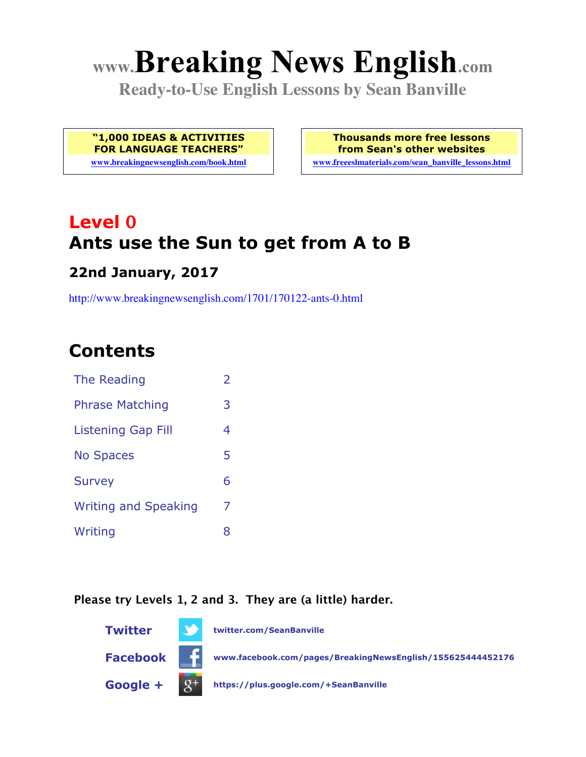# **www.Breaking News English.com**

**Ready-to-Use English Lessons by Sean Banville**

**"1,000 IDEAS & ACTIVITIES FOR LANGUAGE TEACHERS"**

**www.breakingnewsenglish.com/book.html**

**Thousands more free lessons from Sean's other websites www.freeeslmaterials.com/sean\_banville\_lessons.html**

**Level 0 Ants use the Sun to get from A to B**

#### **22nd January, 2017**

http://www.breakingnewsenglish.com/1701/170122-ants-0.html

# **Contents**

| The Reading                 | $\overline{\phantom{a}}$ |
|-----------------------------|--------------------------|
| <b>Phrase Matching</b>      | 3                        |
| Listening Gap Fill          | 4                        |
| <b>No Spaces</b>            | 5                        |
| <b>Survey</b>               | 6                        |
| <b>Writing and Speaking</b> | 7                        |
| Writing                     | 8                        |
|                             |                          |

#### **Please try Levels 1, 2 and 3. They are (a little) harder.**

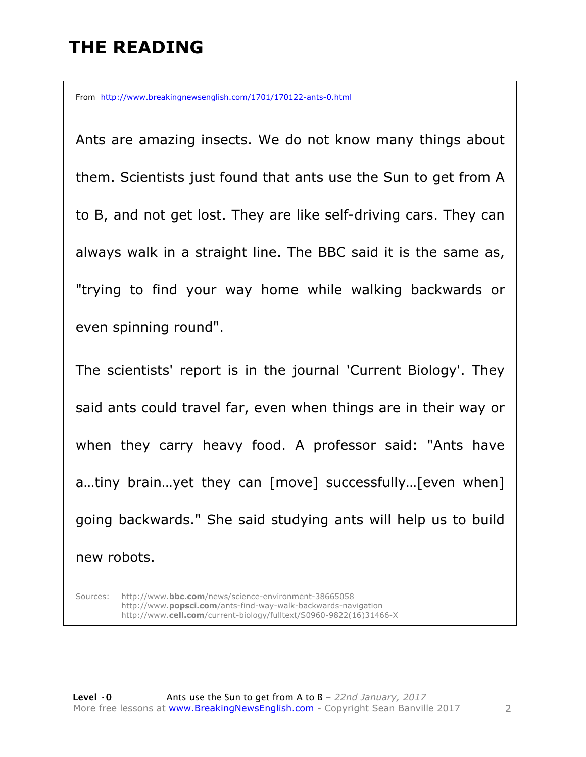# **THE READING**

From http://www.breakingnewsenglish.com/1701/170122-ants-0.html

Ants are amazing insects. We do not know many things about them. Scientists just found that ants use the Sun to get from A to B, and not get lost. They are like self-driving cars. They can always walk in a straight line. The BBC said it is the same as, "trying to find your way home while walking backwards or even spinning round".

The scientists' report is in the journal 'Current Biology'. They said ants could travel far, even when things are in their way or when they carry heavy food. A professor said: "Ants have a…tiny brain…yet they can [move] successfully…[even when] going backwards." She said studying ants will help us to build new robots.

Sources: http://www.**bbc.com**/news/science-environment-38665058 http://www.**popsci.com**/ants-find-way-walk-backwards-navigation http://www.**cell.com**/current-biology/fulltext/S0960-9822(16)31466-X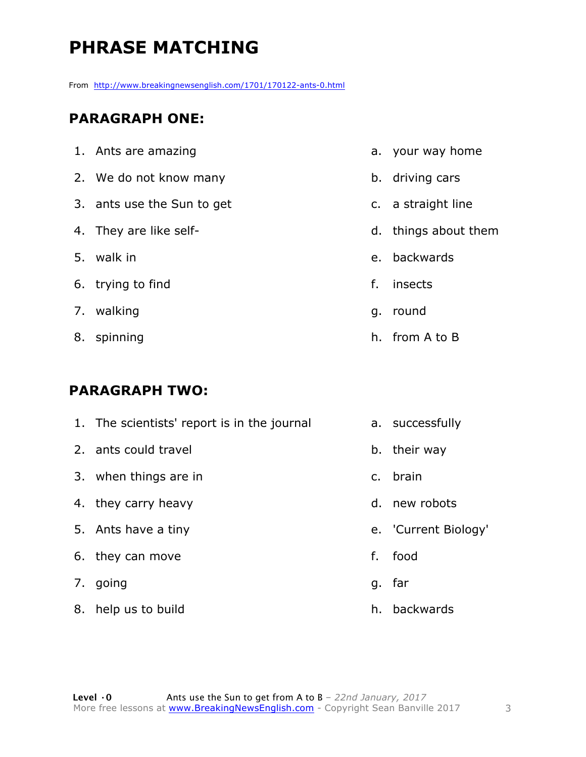# **PHRASE MATCHING**

From http://www.breakingnewsenglish.com/1701/170122-ants-0.html

#### **PARAGRAPH ONE:**

| 1. Ants are amazing        |    | a. your way home     |
|----------------------------|----|----------------------|
| 2. We do not know many     |    | b. driving cars      |
| 3. ants use the Sun to get |    | c. a straight line   |
| 4. They are like self-     |    | d. things about them |
| 5. walk in                 |    | e. backwards         |
| 6. trying to find          | f. | insects              |
| 7. walking                 | g. | round                |
| 8. spinning                |    | h. from A to B       |

#### **PARAGRAPH TWO:**

| 1. The scientists' report is in the journal |    | a. successfully      |
|---------------------------------------------|----|----------------------|
| 2. ants could travel                        |    | b. their way         |
| 3. when things are in                       |    | c. brain             |
| 4. they carry heavy                         |    | d. new robots        |
| 5. Ants have a tiny                         |    | e. 'Current Biology' |
| 6. they can move                            | f. | food                 |
| 7. going                                    |    | g. far               |
| 8. help us to build                         |    | h. backwards         |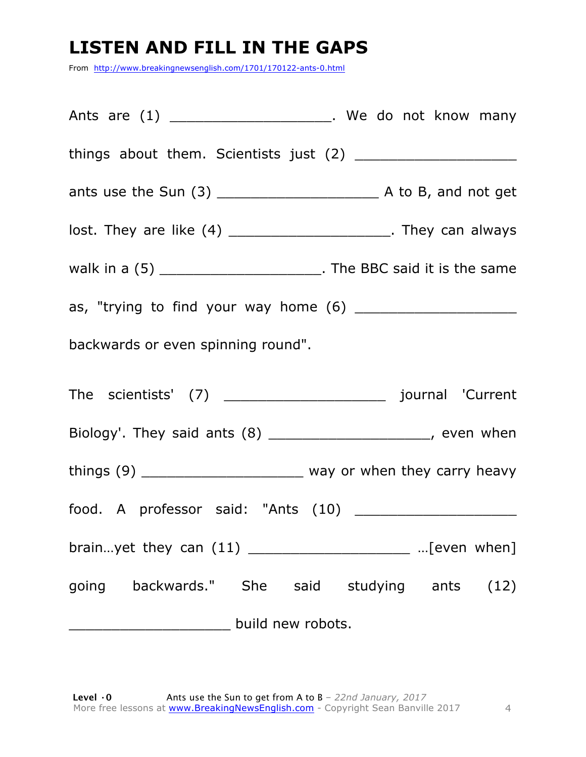## **LISTEN AND FILL IN THE GAPS**

From http://www.breakingnewsenglish.com/1701/170122-ants-0.html

Ants are (1) \_\_\_\_\_\_\_\_\_\_\_\_\_\_\_\_\_\_\_\_\_. We do not know many things about them. Scientists just (2) \_\_\_\_\_\_\_\_\_\_\_\_\_\_\_\_\_\_\_ ants use the Sun (3) \_\_\_\_\_\_\_\_\_\_\_\_\_\_\_\_\_\_\_ A to B, and not get lost. They are like (4) \_\_\_\_\_\_\_\_\_\_\_\_\_\_\_\_\_\_\_\_\_\_. They can always walk in a  $(5)$  \_\_\_\_\_\_\_\_\_\_\_\_\_\_\_\_\_\_\_\_\_\_\_\_\_. The BBC said it is the same as, "trying to find your way home (6) \_\_\_\_\_\_\_\_\_\_\_\_\_\_\_\_\_\_\_ backwards or even spinning round". The scientists' (7) \_\_\_\_\_\_\_\_\_\_\_\_\_\_\_\_\_\_\_ journal 'Current Biology'. They said ants (8) \_\_\_\_\_\_\_\_\_\_\_\_\_\_\_\_\_\_\_\_\_\_, even when things  $(9)$  \_\_\_\_\_\_\_\_\_\_\_\_\_\_\_\_\_\_\_\_\_\_\_\_\_\_ way or when they carry heavy food. A professor said: "Ants (10) brain…yet they can (11) \_\_\_\_\_\_\_\_\_\_\_\_\_\_\_\_\_\_\_ …[even when] going backwards." She said studying ants (12) \_\_\_\_\_\_\_\_\_\_\_\_\_\_\_\_\_\_\_ build new robots.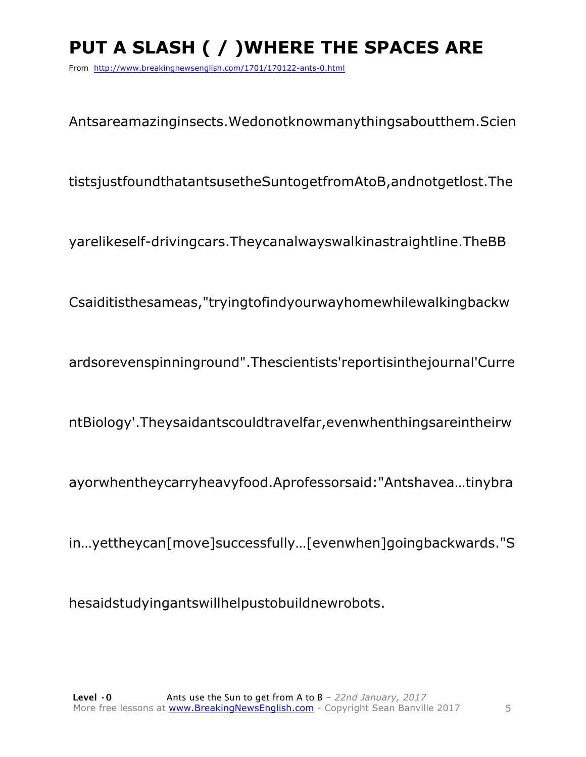# PUT A SLASH ( / ) WHERE THE SPACES ARE

From http://www.breakingnewsenglish.com/1701/170122-ants-0.html

Antsareamazinginsects. Wedonotknowmanythingsaboutthem. Scien

tistsjustfoundthatantsusetheSuntogetfromAtoB, and not getlost. The

yarelikeself-driving cars. They canal ways walkings traightline. The BB

Csaiditisthesameas, "tryingtofindyourwayhomewhilewalkingbackw

ardsorevenspinninground".Thescientists'reportisinthejournal'Curre

ntBiology'.Theysaidantscouldtravelfar, even when things are in their w

ayorwhentheycarryheavyfood.Aprofessorsaid:"Antshavea...tinybra

in...yettheycan[move]successfully...[evenwhen]goingbackwards."S

hesaidstudyingantswillhelpustobuildnewrobots.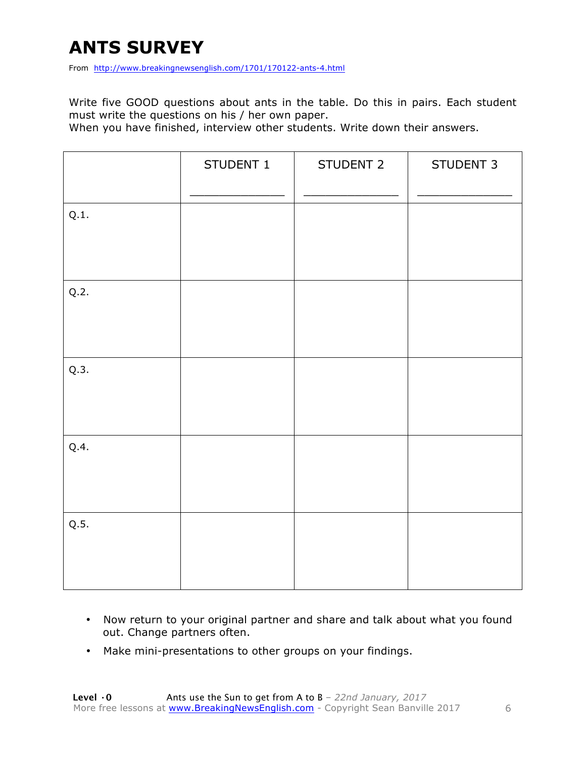# **ANTS SURVEY**

From http://www.breakingnewsenglish.com/1701/170122-ants-4.html

Write five GOOD questions about ants in the table. Do this in pairs. Each student must write the questions on his / her own paper.

When you have finished, interview other students. Write down their answers.

|      | STUDENT 1 | STUDENT 2 | STUDENT 3 |
|------|-----------|-----------|-----------|
| Q.1. |           |           |           |
| Q.2. |           |           |           |
| Q.3. |           |           |           |
| Q.4. |           |           |           |
| Q.5. |           |           |           |

- Now return to your original partner and share and talk about what you found out. Change partners often.
- Make mini-presentations to other groups on your findings.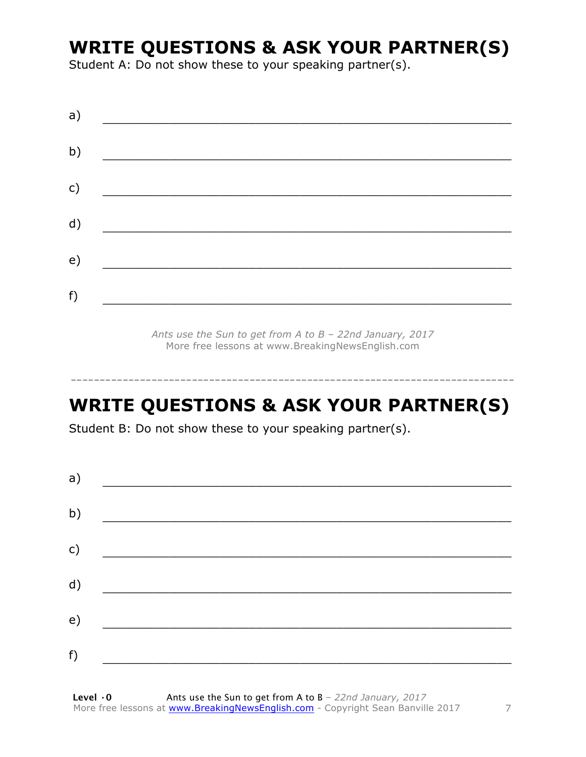## **WRITE QUESTIONS & ASK YOUR PARTNER(S)**

Student A: Do not show these to your speaking partner(s).

| a)            |  |  |
|---------------|--|--|
| b)            |  |  |
| $\mathsf{c})$ |  |  |
| d)            |  |  |
| e)            |  |  |
| f)            |  |  |
|               |  |  |

*Ants use the Sun to get from A to B – 22nd January, 2017* More free lessons at www.BreakingNewsEnglish.com

# **WRITE QUESTIONS & ASK YOUR PARTNER(S)**

-----------------------------------------------------------------------------

Student B: Do not show these to your speaking partner(s).

| a) |  |  |
|----|--|--|
| b) |  |  |
| c) |  |  |
| d) |  |  |
| e) |  |  |
|    |  |  |
| f) |  |  |